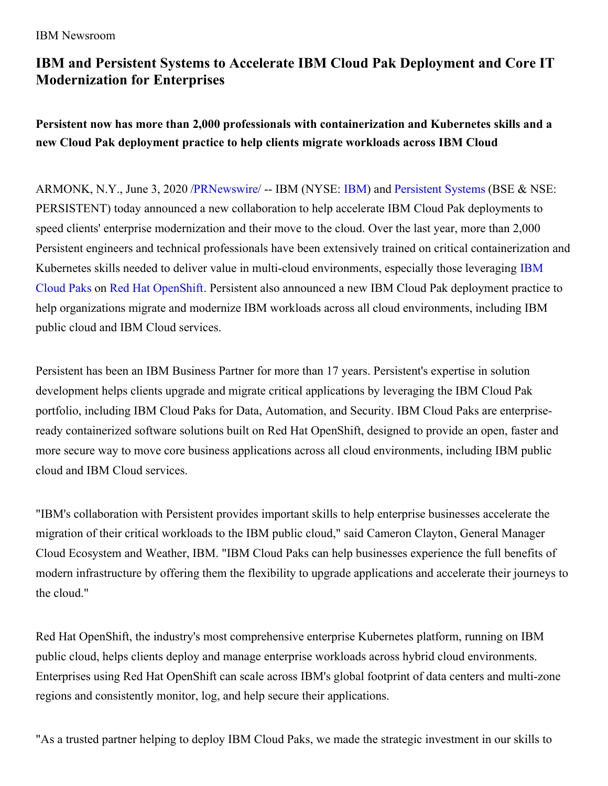## **IBM and Persistent Systems to Accelerate IBM Cloud Pak Deployment and Core IT Modernization for Enterprises**

**Persistent now has more than 2,000 professionals with containerization and Kubernetes skills and a new Cloud Pak deployment practice to help clients migrate workloads across IBM Cloud**

ARMONK, N.Y., June 3, 2020 [/PRNewswire](http://www.prnewswire.com/)/ -- [IBM](https://c212.net/c/link/?t=0&l=en&o=2820312-1&h=3854599642&u=http%3A%2F%2Fwww.ibm.com%2Finvestor&a=IBM) (NYSE: IBM) and [Persistent](https://c212.net/c/link/?t=0&l=en&o=2820312-1&h=4126892144&u=https%3A%2F%2Fwww.persistent.com%2F&a=Persistent+Systems) Systems (BSE & NSE: PERSISTENT) today announced a new collaboration to help accelerate IBM Cloud Pak deployments to speed clients' enterprise modernization and their move to the cloud. Over the last year, more than 2,000 Persistent engineers and technical professionals have been extensively trained on critical containerization and Kubernetes skills needed to deliver value in multi-cloud [environments,](https://c212.net/c/link/?t=0&l=en&o=2820312-1&h=1402660982&u=https%3A%2F%2Fwww.ibm.com%2Fcloud%2Fpaks%2F&a=IBM+Cloud+Paks) especially those leveraging IBM Cloud Paks on Red Hat [OpenShift](https://c212.net/c/link/?t=0&l=en&o=2820312-1&h=2119508281&u=https%3A%2F%2Fwww.openshift.com%2F&a=Red+Hat+OpenShift). Persistent also announced a new IBM Cloud Pak deployment practice to help organizations migrate and modernize IBM workloads across all cloud environments, including IBM public cloud and IBM Cloud services.

Persistent has been an IBM Business Partner for more than 17 years. Persistent's expertise in solution development helps clients upgrade and migrate critical applications by leveraging the IBM Cloud Pak portfolio, including IBM Cloud Paks for Data, Automation, and Security. IBM Cloud Paks are enterpriseready containerized software solutions built on Red Hat OpenShift, designed to provide an open, faster and more secure way to move core business applications across all cloud environments, including IBM public cloud and IBM Cloud services.

"IBM's collaboration with Persistent provides important skills to help enterprise businesses accelerate the migration of their critical workloads to the IBM public cloud," said Cameron Clayton, General Manager Cloud Ecosystem and Weather, IBM. "IBM Cloud Paks can help businesses experience the full benefits of modern infrastructure by offering them the flexibility to upgrade applications and accelerate their journeys to the cloud."

Red Hat OpenShift, the industry's most comprehensive enterprise Kubernetes platform, running on IBM public cloud, helps clients deploy and manage enterprise workloads across hybrid cloud environments. Enterprises using Red Hat OpenShift can scale across IBM's global footprint of data centers and multi-zone regions and consistently monitor, log, and help secure their applications.

"As a trusted partner helping to deploy IBM Cloud Paks, we made the strategic investment in our skills to